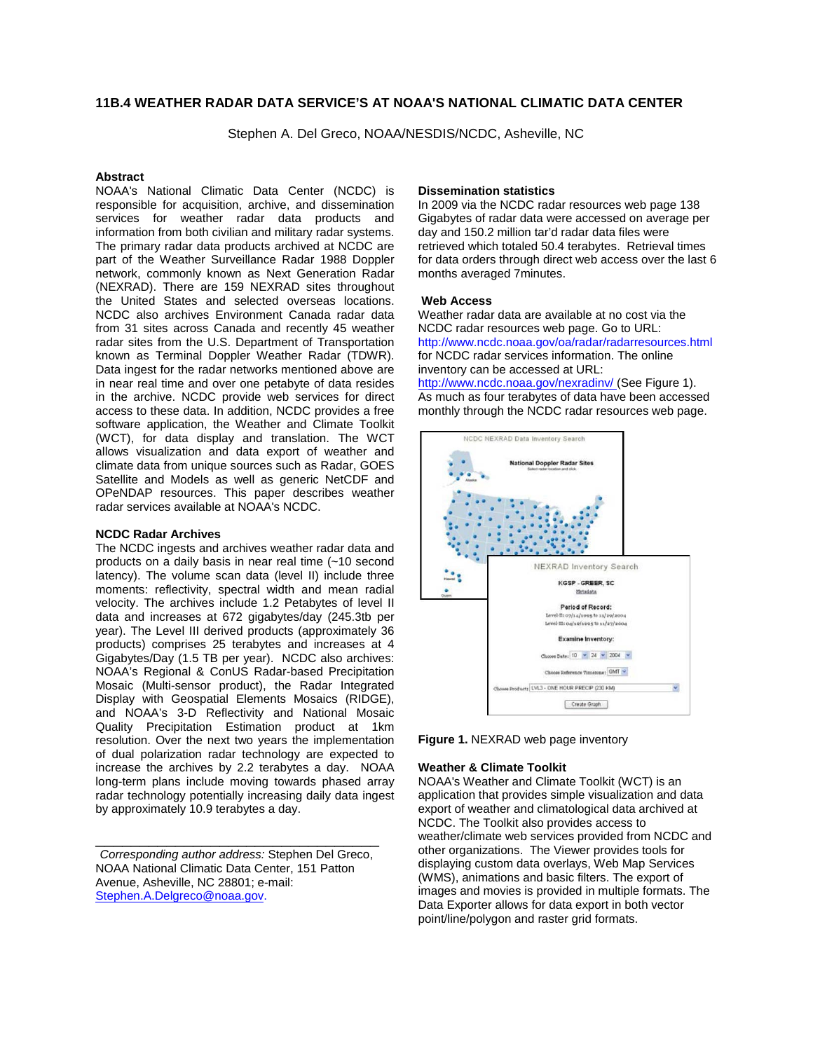# **11B.4 WEATHER RADAR DATA SERVICE'S AT NOAA'S NATIONAL CLIMATIC DATA CENTER**

Stephen A. Del Greco, NOAA/NESDIS/NCDC, Asheville, NC

### **Abstract**

NOAA's National Climatic Data Center (NCDC) is responsible for acquisition, archive, and dissemination services for weather radar data products and information from both civilian and military radar systems. The primary radar data products archived at NCDC are part of the Weather Surveillance Radar 1988 Doppler network, commonly known as Next Generation Radar (NEXRAD). There are 159 NEXRAD sites throughout the United States and selected overseas locations. NCDC also archives Environment Canada radar data from 31 sites across Canada and recently 45 weather radar sites from the U.S. Department of Transportation known as Terminal Doppler Weather Radar (TDWR). Data ingest for the radar networks mentioned above are in near real time and over one petabyte of data resides in the archive. NCDC provide web services for direct access to these data. In addition, NCDC provides a free software application, the Weather and Climate Toolkit (WCT), for data display and translation. The WCT allows visualization and data export of weather and climate data from unique sources such as Radar, GOES Satellite and Models as well as generic NetCDF and OPeNDAP resources. This paper describes weather radar services available at NOAA's NCDC.

### **NCDC Radar Archives**

The NCDC ingests and archives weather radar data and products on a daily basis in near real time (~10 second latency). The volume scan data (level II) include three moments: reflectivity, spectral width and mean radial velocity. The archives include 1.2 Petabytes of level II data and increases at 672 gigabytes/day (245.3tb per year). The Level III derived products (approximately 36 products) comprises 25 terabytes and increases at 4 Gigabytes/Day (1.5 TB per year). NCDC also archives: NOAA's Regional & ConUS Radar-based Precipitation Mosaic (Multi-sensor product), the Radar Integrated Display with Geospatial Elements Mosaics (RIDGE), and NOAA's 3-D Reflectivity and National Mosaic Quality Precipitation Estimation product at 1km resolution. Over the next two years the implementation of dual polarization radar technology are expected to increase the archives by 2.2 terabytes a day. NOAA long-term plans include moving towards phased array radar technology potentially increasing daily data ingest by approximately 10.9 terabytes a day.

*Corresponding author address:* Stephen Del Greco, NOAA National Climatic Data Center, 151 Patton Avenue, Asheville, NC 28801; e-mail: Stephen.A.Delgreco@noaa.gov.

\_\_\_\_\_\_\_\_\_\_\_\_\_\_\_\_\_\_\_\_\_\_\_\_\_\_\_\_\_\_\_\_

### **Dissemination statistics**

In 2009 via the NCDC radar resources web page 138 Gigabytes of radar data were accessed on average per day and 150.2 million tar'd radar data files were retrieved which totaled 50.4 terabytes. Retrieval times for data orders through direct web access over the last 6 months averaged 7minutes.

#### **Web Access**

Weather radar data are available at no cost via the NCDC radar resources web page. Go to URL: http://www.ncdc.noaa.gov/oa/radar/radarresources.html for NCDC radar services information. The online inventory can be accessed at URL:

http://www.ncdc.noaa.gov/nexradinv/ (See Figure 1). As much as four terabytes of data have been accessed monthly through the NCDC radar resources web page.



**Figure 1.** NEXRAD web page inventory

#### **Weather & Climate Toolkit**

NOAA's Weather and Climate Toolkit (WCT) is an application that provides simple visualization and data export of weather and climatological data archived at NCDC. The Toolkit also provides access to weather/climate web services provided from NCDC and other organizations. The Viewer provides tools for displaying custom data overlays, Web Map Services (WMS), animations and basic filters. The export of images and movies is provided in multiple formats. The Data Exporter allows for data export in both vector point/line/polygon and raster grid formats.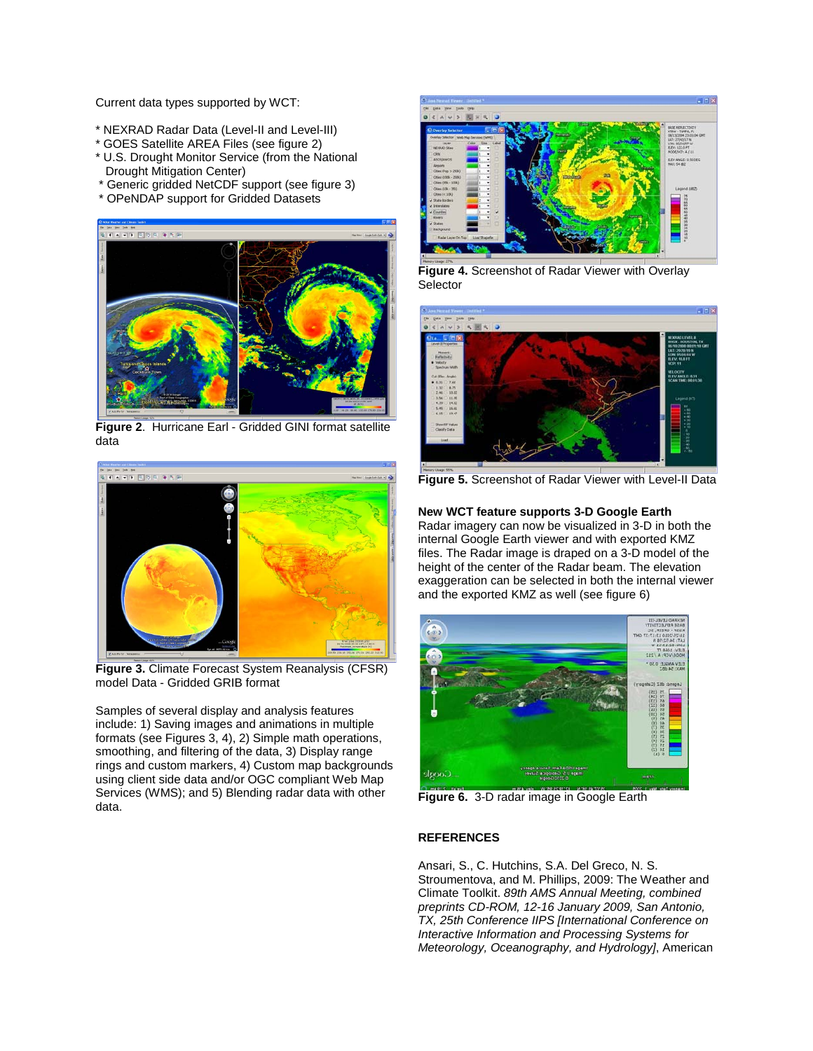Current data types supported by WCT:

- \* NEXRAD Radar Data (Level-II and Level-III)
- \* GOES Satellite AREA Files (see figure 2)
- \* U.S. Drought Monitor Service (from the National Drought Mitigation Center)
- \* Generic gridded NetCDF support (see figure 3)
- \* OPeNDAP support for Gridded Datasets



**Figure 2**. Hurricane Earl - Gridded GINI format satellite data



**Figure 3.** Climate Forecast System Reanalysis (CFSR) model Data - Gridded GRIB format

Samples of several display and analysis features include: 1) Saving images and animations in multiple formats (see Figures 3, 4), 2) Simple math operations, smoothing, and filtering of the data, 3) Display range rings and custom markers, 4) Custom map backgrounds using client side data and/or OGC compliant Web Map Services (WMS); and 5) Blending radar data with other data.



**Figure 4.** Screenshot of Radar Viewer with Overlay **Selector** 



**Figure 5.** Screenshot of Radar Viewer with Level-II Data

## **New WCT feature supports 3-D Google Earth**

Radar imagery can now be visualized in 3-D in both the internal Google Earth viewer and with exported KMZ files. The Radar image is draped on a 3-D model of the height of the center of the Radar beam. The elevation exaggeration can be selected in both the internal viewer and the exported KMZ as well (see figure 6)



**Figure 6.** 3-D radar image in Google Earth

# **REFERENCES**

Ansari, S., C. Hutchins, S.A. Del Greco, N. S. Stroumentova, and M. Phillips, 2009: The Weather and Climate Toolkit. *89th AMS Annual Meeting, combined preprints CD-ROM, 12-16 January 2009, San Antonio, TX, 25th Conference IIPS [International Conference on Interactive Information and Processing Systems for Meteorology, Oceanography, and Hydrology]*, American